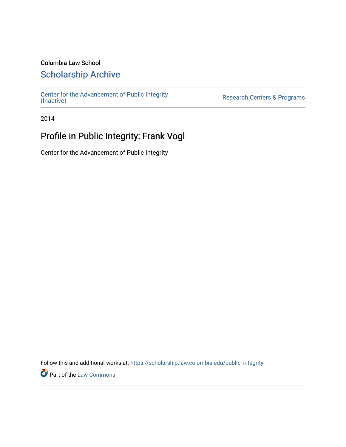# Columbia Law School

# [Scholarship Archive](https://scholarship.law.columbia.edu/)

[Center for the Advancement of Public Integrity](https://scholarship.law.columbia.edu/public_integrity)<br>(Inactive)

Research Centers & Programs

2014

# Profile in Public Integrity: Frank Vogl

Center for the Advancement of Public Integrity

Follow this and additional works at: [https://scholarship.law.columbia.edu/public\\_integrity](https://scholarship.law.columbia.edu/public_integrity?utm_source=scholarship.law.columbia.edu%2Fpublic_integrity%2F120&utm_medium=PDF&utm_campaign=PDFCoverPages)

**Part of the [Law Commons](http://network.bepress.com/hgg/discipline/578?utm_source=scholarship.law.columbia.edu%2Fpublic_integrity%2F120&utm_medium=PDF&utm_campaign=PDFCoverPages)**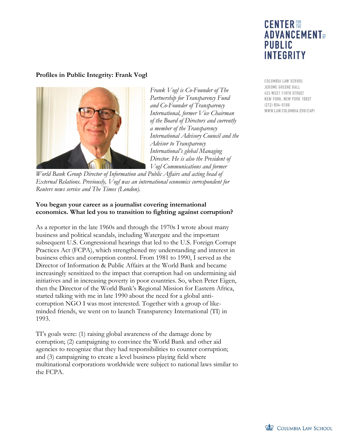# **CENTER 體 ADVANCEMENT**<sub>OF</sub> **PUBLIC INTEGRITY**

# **Profiles in Public Integrity: Frank Vogl**



*Frank Vogl is Co-Founder of The Partnership for Transparency Fund and Co-Founder of Transparency International, former Vice Chairman of the Board of Directors and currently a member of the Transparency International Advisory Council and the Advisor to Transparency International's global Managing Director. He is also the President of Vogl Communications and former* 

*World Bank Group Director of Information and Public Affairs and acting head of External Relations. Previously, Vogl was an international economics correspondent for Reuters news service and The Times (London).* 

#### **You began your career as a journalist covering international economics. What led you to transition to fighting against corruption?**

As a reporter in the late 1960s and through the 1970s I wrote about many business and political scandals, including Watergate and the important subsequent U.S. Congressional hearings that led to the U.S. Foreign Corrupt Practices Act (FCPA), which strengthened my understanding and interest in business ethics and corruption control. From 1981 to 1990, I served as the Director of Information & Public Affairs at the World Bank and became increasingly sensitized to the impact that corruption had on undermining aid initiatives and in increasing poverty in poor countries. So, when Peter Eigen, then the Director of the World Bank's Regional Mission for Eastern Africa, started talking with me in late 1990 about the need for a global anticorruption NGO I was most interested. Together with a group of likeminded friends, we went on to launch Transparency International (TI) in 1993.

TI's goals were: (1) raising global awareness of the damage done by corruption; (2) campaigning to convince the World Bank and other aid agencies to recognize that they had responsibilities to counter corruption; and (3) campaigning to create a level business playing field where multinational corporations worldwide were subject to national laws similar to the FCPA.

COLUMBIA LAW SCHOOL JEROME GREENE HALL 435 WEST 116TH STREET NEW YORK, NEW YORK 10027  $(212) 854 - 6186$ WWW.LAW.COLUMBIA.EDU/CAPI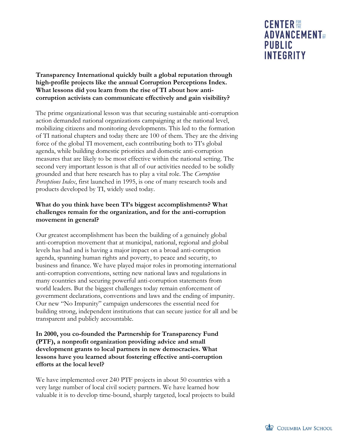## **Transparency International quickly built a global reputation through high-profile projects like the annual Corruption Perceptions Index. What lessons did you learn from the rise of TI about how anticorruption activists can communicate effectively and gain visibility?**

The prime organizational lesson was that securing sustainable anti-corruption action demanded national organizations campaigning at the national level, mobilizing citizens and monitoring developments. This led to the formation of TI national chapters and today there are 100 of them. They are the driving force of the global TI movement, each contributing both to TI's global agenda, while building domestic priorities and domestic anti-corruption measures that are likely to be most effective within the national setting. The second very important lesson is that all of our activities needed to be solidly grounded and that here research has to play a vital role. The *Corruption Perceptions Index*, first launched in 1995, is one of many research tools and products developed by TI, widely used today.

### **What do you think have been TI's biggest accomplishments? What challenges remain for the organization, and for the anti-corruption movement in general?**

Our greatest accomplishment has been the building of a genuinely global anti-corruption movement that at municipal, national, regional and global levels has had and is having a major impact on a broad anti-corruption agenda, spanning human rights and poverty, to peace and security, to business and finance. We have played major roles in promoting international anti-corruption conventions, setting new national laws and regulations in many countries and securing powerful anti-corruption statements from world leaders. But the biggest challenges today remain enforcement of government declarations, conventions and laws and the ending of impunity. Our new "No Impunity" campaign underscores the essential need for building strong, independent institutions that can secure justice for all and be transparent and publicly accountable.

### **In 2000, you co-founded the Partnership for Transparency Fund (PTF), a nonprofit organization providing advice and small development grants to local partners in new democracies. What lessons have you learned about fostering effective anti-corruption efforts at the local level?**

We have implemented over 240 PTF projects in about 50 countries with a very large number of local civil society partners. We have learned how valuable it is to develop time-bound, sharply targeted, local projects to build